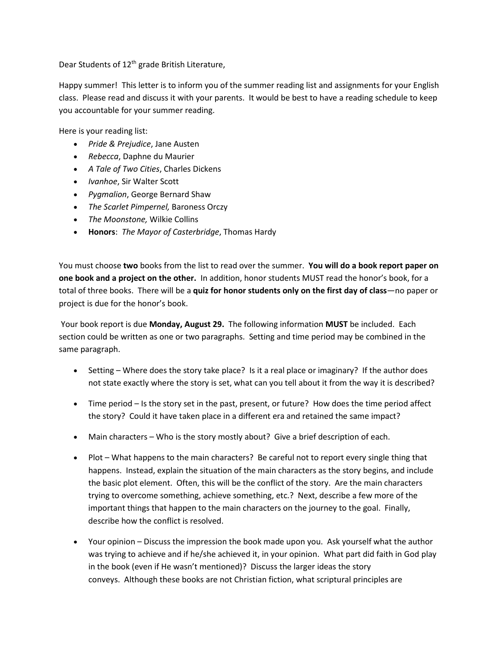Dear Students of 12<sup>th</sup> grade British Literature,

Happy summer! This letter is to inform you of the summer reading list and assignments for your English class. Please read and discuss it with your parents. It would be best to have a reading schedule to keep you accountable for your summer reading.

Here is your reading list:

- *Pride & Prejudice*, Jane Austen
- *Rebecca*, Daphne du Maurier
- *A Tale of Two Cities*, Charles Dickens
- *Ivanhoe*, Sir Walter Scott
- *Pygmalion*, George Bernard Shaw
- *The Scarlet Pimpernel,* Baroness Orczy
- *The Moonstone,* Wilkie Collins
- **Honors**: *The Mayor of Casterbridge*, Thomas Hardy

You must choose **two** books from the list to read over the summer. **You will do a book report paper on one book and a project on the other.** In addition, honor students MUST read the honor's book, for a total of three books. There will be a **quiz for honor students only on the first day of class**—no paper or project is due for the honor's book.

Your book report is due **Monday, August 29.** The following information **MUST** be included. Each section could be written as one or two paragraphs. Setting and time period may be combined in the same paragraph.

- Setting Where does the story take place? Is it a real place or imaginary? If the author does not state exactly where the story is set, what can you tell about it from the way it is described?
- Time period Is the story set in the past, present, or future? How does the time period affect the story? Could it have taken place in a different era and retained the same impact?
- Main characters Who is the story mostly about? Give a brief description of each.
- Plot What happens to the main characters? Be careful not to report every single thing that happens. Instead, explain the situation of the main characters as the story begins, and include the basic plot element. Often, this will be the conflict of the story. Are the main characters trying to overcome something, achieve something, etc.? Next, describe a few more of the important things that happen to the main characters on the journey to the goal. Finally, describe how the conflict is resolved.
- Your opinion Discuss the impression the book made upon you. Ask yourself what the author was trying to achieve and if he/she achieved it, in your opinion. What part did faith in God play in the book (even if He wasn't mentioned)? Discuss the larger ideas the story conveys. Although these books are not Christian fiction, what scriptural principles are